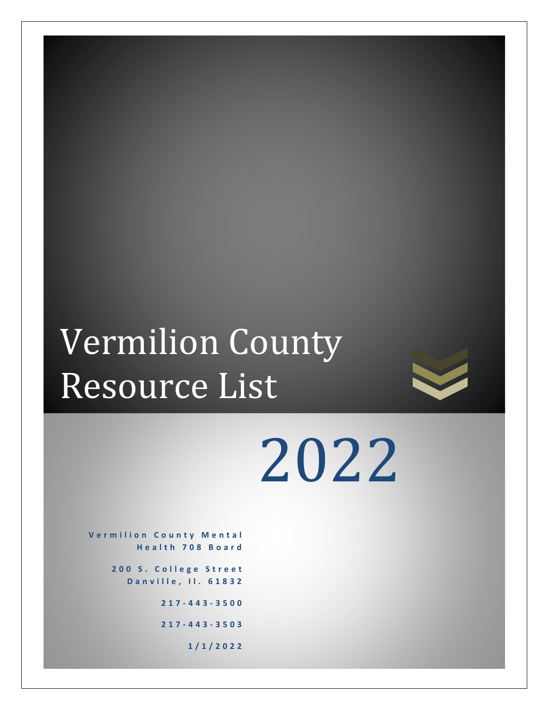# Vermilion County Resource List



2022

**Vermilion County Mental H e a l t h 7 0 8 B o a r d**

> 200 S. College Street **D a n v i l l e , I l . 6 1 8 3 2**

> > **217 - 4 4 3 - 3500**

**217 - 4 4 3 - 3503**

**1 / 1 / 2 0 2 2**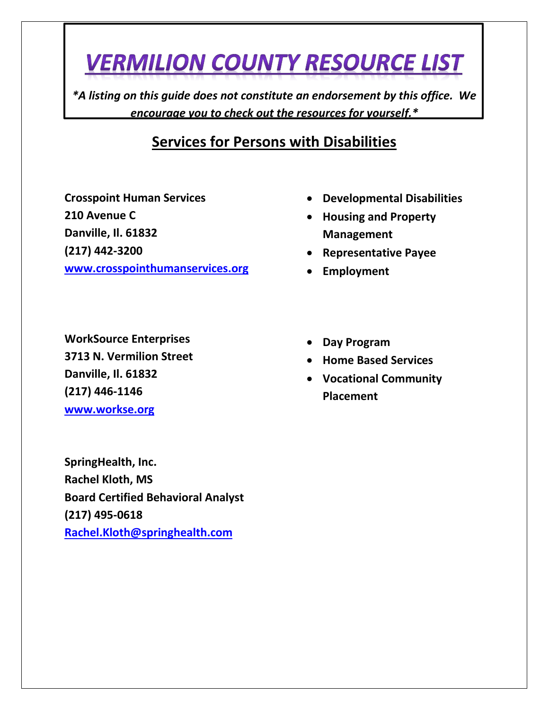*\*A listing on this guide does not constitute an endorsement by this office. We encourage you to check out the resources for yourself.\**

#### **Services for Persons with Disabilities**

**Crosspoint Human Services 210 Avenue C Danville, Il. 61832 (217) 442-3200**

**[www.crosspointhumanservices.org](http://www.crosspointhumanservices.org/)**

- **Developmental Disabilities**
- **Housing and Property Management**
- **Representative Payee**
- **Employment**

**WorkSource Enterprises 3713 N. Vermilion Street Danville, Il. 61832 (217) 446-1146 [www.workse.org](http://www.workse.org/)**

**SpringHealth, Inc. Rachel Kloth, MS Board Certified Behavioral Analyst (217) 495-0618 [Rachel.Kloth@springhealth.com](mailto:Rachel.Kloth@springhealth.com)**

- **Day Program**
- **Home Based Services**
- **Vocational Community Placement**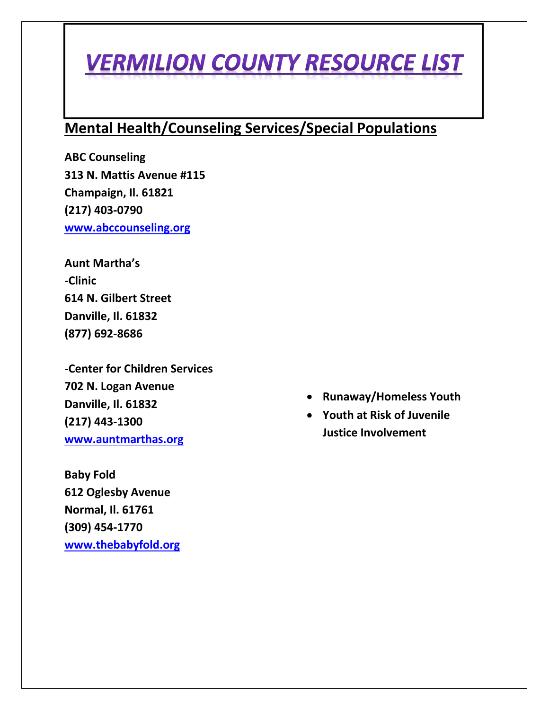#### **Mental Health/Counseling Services/Special Populations**

**ABC Counseling 313 N. Mattis Avenue #115 Champaign, Il. 61821 (217) 403-0790 [www.abccounseling.org](http://www.abccounseling.org/)**

**Aunt Martha's -Clinic 614 N. Gilbert Street Danville, Il. 61832 (877) 692-8686**

**-Center for Children Services 702 N. Logan Avenue Danville, Il. 61832 (217) 443-1300 [www.auntmarthas.org](http://www.auntmarthas.org/)**

**Baby Fold 612 Oglesby Avenue Normal, Il. 61761 (309) 454-1770 [www.thebabyfold.org](http://www.thebabyfold.org/)**

- **Runaway/Homeless Youth**
- **Youth at Risk of Juvenile Justice Involvement**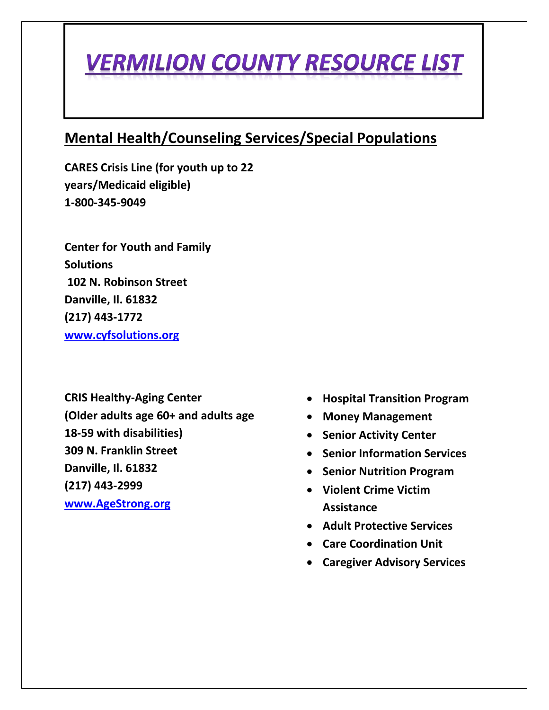#### **Mental Health/Counseling Services/Special Populations**

**CARES Crisis Line (for youth up to 22 years/Medicaid eligible) 1-800-345-9049**

**Center for Youth and Family Solutions 102 N. Robinson Street Danville, Il. 61832 (217) 443-1772 [www.cyfsolutions.org](http://www.cyfsolutions.org/)**

**CRIS Healthy-Aging Center (Older adults age 60+ and adults age 18-59 with disabilities) 309 N. Franklin Street Danville, Il. 61832 (217) 443-2999 [www.AgeStrong.org](http://www.agestrong.org/)**

- **Hospital Transition Program**
- **Money Management**
- **Senior Activity Center**
- **Senior Information Services**
- **Senior Nutrition Program**
- **Violent Crime Victim Assistance**
- **Adult Protective Services**
- **Care Coordination Unit**
- **Caregiver Advisory Services**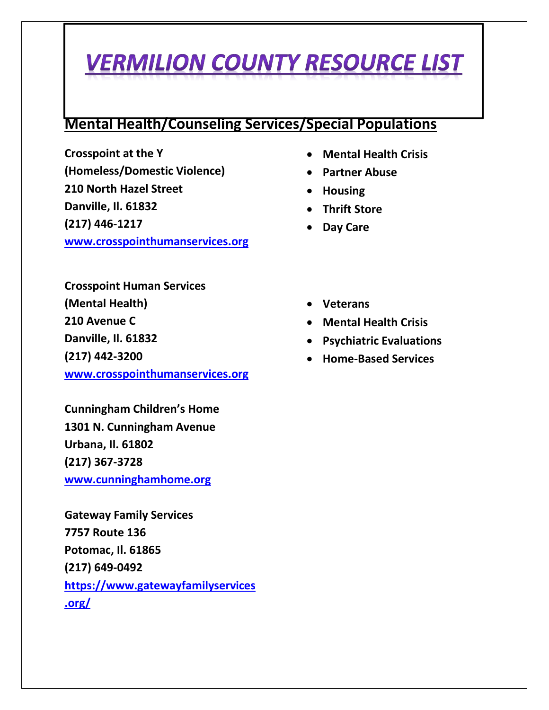#### **Mental Health/Counseling Services/Special Populations**

**Crosspoint at the Y (Homeless/Domestic Violence) 210 North Hazel Street Danville, Il. 61832 (217) 446-1217 [www.crosspointhumanservices.org](http://www.crosspointhumanservices.org/)**

- **Mental Health Crisis**
- **Partner Abuse**
- **Housing**
- **Thrift Store**
- **Day Care**

**Crosspoint Human Services (Mental Health) 210 Avenue C Danville, Il. 61832 (217) 442-3200 [www.crosspointhumanservices.org](http://www.crosspointhumanservices.org/)**

**Cunningham Children's Home 1301 N. Cunningham Avenue Urbana, Il. 61802 (217) 367-3728 [www.cunninghamhome.org](http://www.cunninghamhome.org/)**

**Gateway Family Services 7757 Route 136 Potomac, Il. 61865 (217) 649-0492 [https://www.gatewayfamilyservices](https://www.gatewayfamilyservices.org/) [.org/](https://www.gatewayfamilyservices.org/)**

- **Veterans**
- **Mental Health Crisis**
- **Psychiatric Evaluations**
- **Home-Based Services**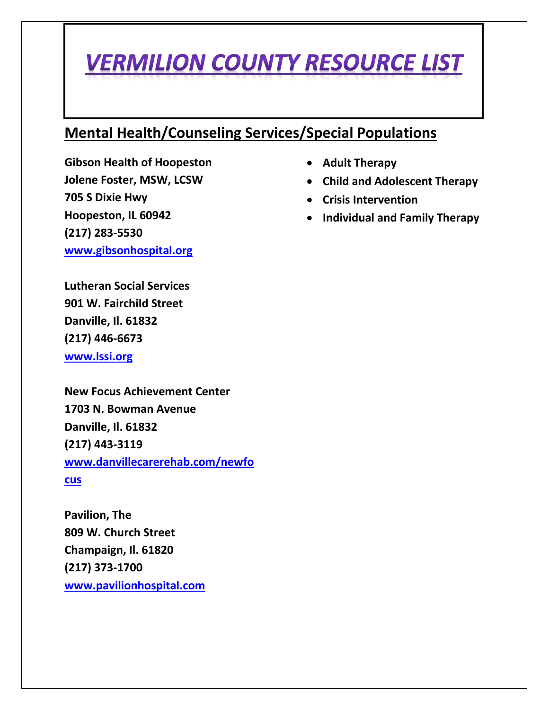#### **Mental Health/Counseling Services/Special Populations**

**Gibson Health of Hoopeston Jolene Foster, MSW, LCSW 705 S Dixie Hwy Hoopeston, IL 60942 (217) 283-5530 [www.gibsonhospital.org](http://www.gibsonhospital.org/)**

**Lutheran Social Services 901 W. Fairchild Street Danville, Il. 61832 (217) 446-6673**

**[www.lssi.org](http://www.lssi.org/)**

**New Focus Achievement Center 1703 N. Bowman Avenue Danville, Il. 61832 (217) 443-3119 [www.danvillecarerehab.com/newfo](http://www.danvillecarerehab.com/newfocus) [cus](http://www.danvillecarerehab.com/newfocus)**

**Pavilion, The 809 W. Church Street Champaign, Il. 61820 (217) 373-1700 [www.pavilionhospital.com](http://www.pavilionhospital.com/)**

- **Adult Therapy**
- **Child and Adolescent Therapy**
- **Crisis Intervention**
- **Individual and Family Therapy**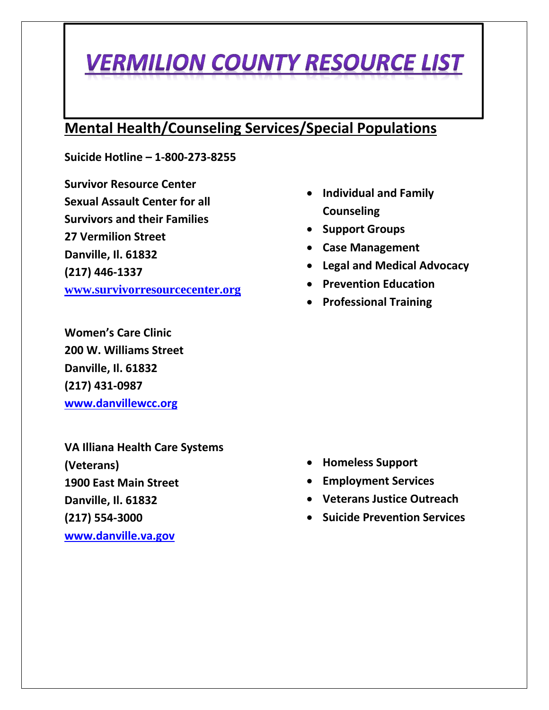#### **Mental Health/Counseling Services/Special Populations**

**Suicide Hotline – 1-800-273-8255**

**Survivor Resource Center Sexual Assault Center for all Survivors and their Families 27 Vermilion Street Danville, Il. 61832 (217) 446-1337 [www.survivorresourcecenter.org](https://protect-us.mimecast.com/s/g1DWCXDqJjIMZ4NSVXXmA?domain=survivorresourcecenter.org)**

**Women's Care Clinic 200 W. Williams Street Danville, Il. 61832 (217) 431-0987 [www.danvillewcc.org](http://www.danvillewcc.org/)**

**VA Illiana Health Care Systems (Veterans) 1900 East Main Street Danville, Il. 61832 (217) 554-3000 [www.danville.va.gov](http://www.danville.va.gov/)**

- **Individual and Family Counseling**
- **Support Groups**
- **Case Management**
- **Legal and Medical Advocacy**
- **Prevention Education**
- **Professional Training**

- **Homeless Support**
- **Employment Services**
- **Veterans Justice Outreach**
- **Suicide Prevention Services**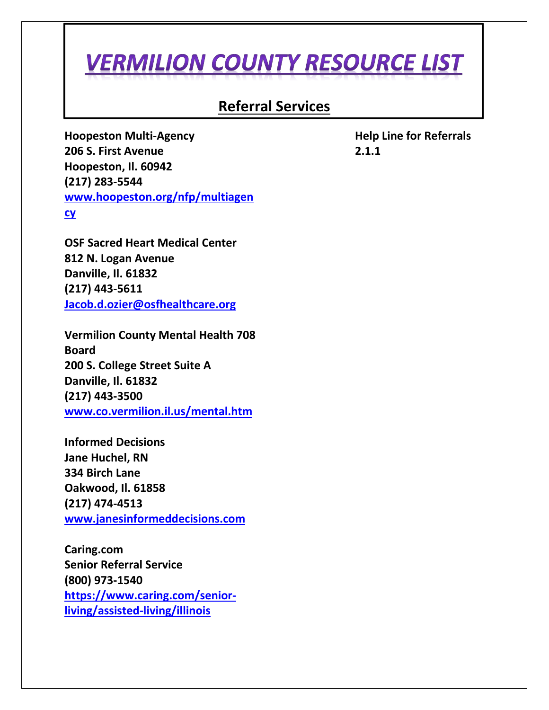#### **Referral Services**

**Hoopeston Multi-Agency 206 S. First Avenue Hoopeston, Il. 60942 (217) 283-5544 [www.hoopeston.org/nfp/multiagen](http://www.hoopeston.org/nfp/multiagency) [cy](http://www.hoopeston.org/nfp/multiagency)**

**OSF Sacred Heart Medical Center 812 N. Logan Avenue Danville, Il. 61832 (217) 443-5611 [Jacob.d.ozier@osfhealthcare.org](mailto:Jacob.d.ozier@osfhealthcare.org)**

**Vermilion County Mental Health 708 Board 200 S. College Street Suite A Danville, Il. 61832 (217) 443-3500 [www.co.vermilion.il.us/mental.htm](http://www.co.vermilion.il.us/mental.htm)**

**Informed Decisions Jane Huchel, RN 334 Birch Lane Oakwood, Il. 61858 (217) 474-4513 [www.janesinformeddecisions.com](http://www.janesinformeddecisions.com/)**

**Caring.com Senior Referral Service (800) 973-1540 [https://www.caring.com/senior](https://www.caring.com/senior-living/assisted-living/illinois)[living/assisted-living/illinois](https://www.caring.com/senior-living/assisted-living/illinois)**

**Help Line for Referrals 2.1.1**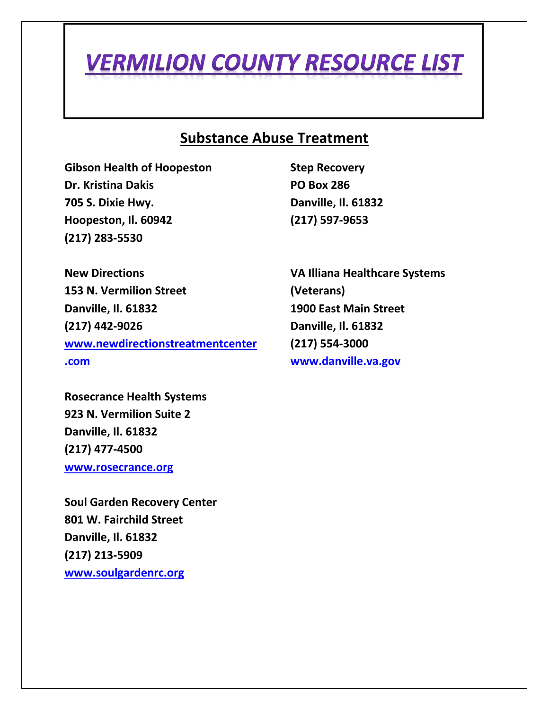#### **Substance Abuse Treatment**

**Gibson Health of Hoopeston Dr. Kristina Dakis 705 S. Dixie Hwy. Hoopeston, Il. 60942 (217) 283-5530**

**Step Recovery PO Box 286 Danville, Il. 61832 (217) 597-9653**

**New Directions 153 N. Vermilion Street Danville, Il. 61832 (217) 442-9026 [www.newdirectionstreatmentcenter](http://www.newdirectionstreatmentcenter.com/) [.com](http://www.newdirectionstreatmentcenter.com/)**

**Rosecrance Health Systems 923 N. Vermilion Suite 2 Danville, Il. 61832 (217) 477-4500 [www.rosecrance.org](http://www.rosecrance.org/)**

**Soul Garden Recovery Center 801 W. Fairchild Street Danville, Il. 61832 (217) 213-5909 [www.soulgardenrc.org](http://www.soulgardenrc.org/)**

**VA Illiana Healthcare Systems (Veterans) 1900 East Main Street Danville, Il. 61832 (217) 554-3000 [www.danville.va.gov](http://www.danville.va.gov/)**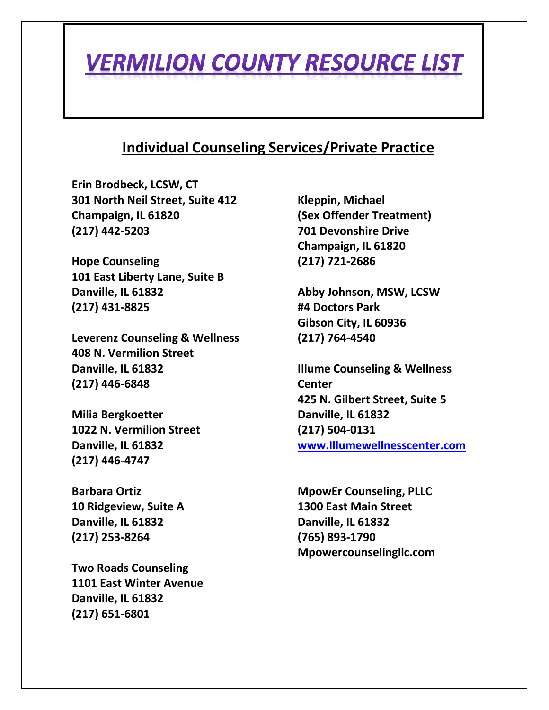#### **Individual Counseling Services/Private Practice**

**Erin Brodbeck, LCSW, CT 301 North Neil Street, Suite 412 Champaign, IL 61820 (217) 442-5203**

**Hope Counseling 101 East Liberty Lane, Suite B Danville, IL 61832 (217) 431-8825**

**Leverenz Counseling & Wellness 408 N. Vermilion Street Danville, IL 61832 (217) 446-6848**

**Milia Bergkoetter 1022 N. Vermilion Street Danville, IL 61832 (217) 446-4747**

**Barbara Ortiz 10 Ridgeview, Suite A Danville, IL 61832 (217) 253-8264**

**Two Roads Counseling 1101 East Winter Avenue Danville, IL 61832 (217) 651-6801**

**Kleppin, Michael (Sex Offender Treatment) 701 Devonshire Drive Champaign, IL 61820 (217) 721-2686**

**Abby Johnson, MSW, LCSW #4 Doctors Park Gibson City, IL 60936 (217) 764-4540**

**Illume Counseling & Wellness Center 425 N. Gilbert Street, Suite 5 Danville, IL 61832 (217) 504-0131 [www.Illumewellnesscenter.com](http://www.illumewellnesscenter.com/)**

**MpowEr Counseling, PLLC 1300 East Main Street Danville, IL 61832 (765) 893-1790 Mpowercounselingllc.com**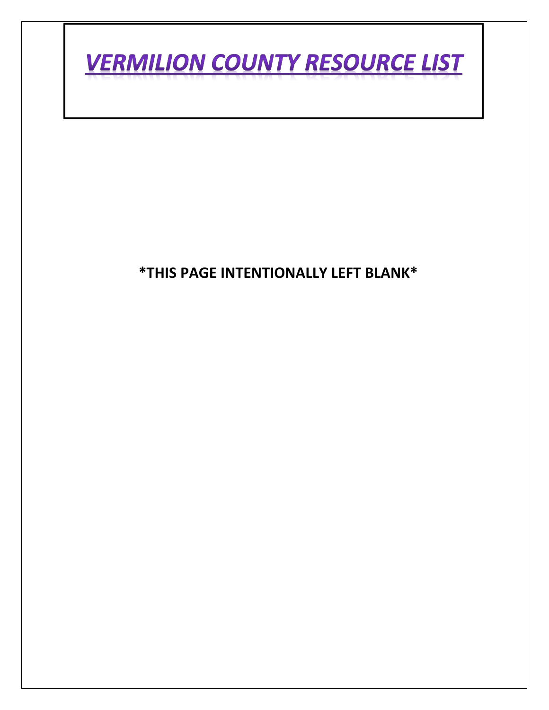

#### **\*THIS PAGE INTENTIONALLY LEFT BLANK\***